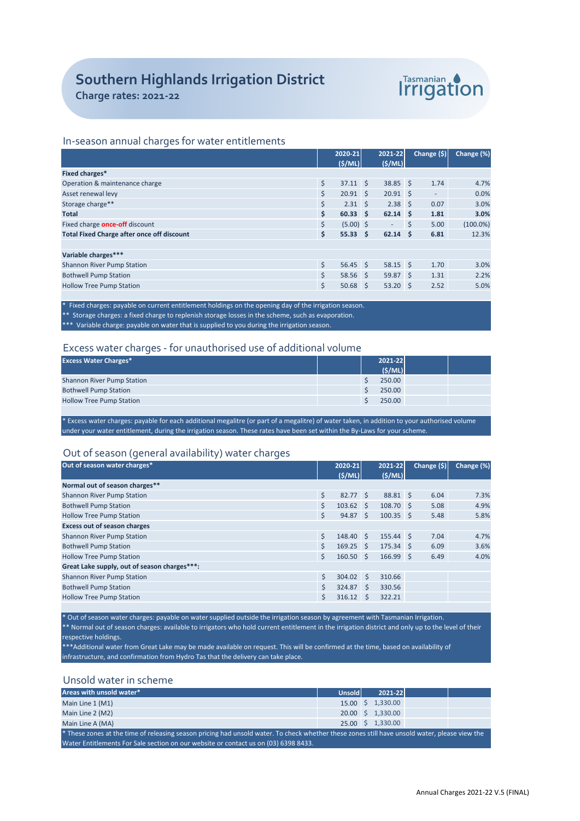

# In-season annual charges for water entitlements

|                                                   |    | 2020-21          | 2021-22         |   | Change (\$) | Change (%)  |
|---------------------------------------------------|----|------------------|-----------------|---|-------------|-------------|
|                                                   |    | (S/ML)           | (S/ML)          |   |             |             |
| Fixed charges*                                    |    |                  |                 |   |             |             |
| Operation & maintenance charge                    | \$ | $37.11 \quad$    | 38.85 \$        |   | 1.74        | 4.7%        |
| Asset renewal levy                                | Ś  | $20.91 \quad $5$ | $20.91 \quad $$ |   | $\sim$      | 0.0%        |
| Storage charge**                                  | Ś. | $2.31 \quad $5$  | $2.38 \quad S$  |   | 0.07        | 3.0%        |
| <b>Total</b>                                      | \$ | $60.33$ \$       | $62.14$ \$      |   | 1.81        | 3.0%        |
| Fixed charge <b>once-off</b> discount             | \$ | $(5.00)$ \$      |                 | S | 5.00        | $(100.0\%)$ |
| <b>Total Fixed Charge after once off discount</b> | \$ | $55.33 \quad S$  | $62.14$ \$      |   | 6.81        | 12.3%       |
|                                                   |    |                  |                 |   |             |             |
| Variable charges***                               |    |                  |                 |   |             |             |
| <b>Shannon River Pump Station</b>                 | \$ | $56.45$ \$       | $58.15$ \$      |   | 1.70        | 3.0%        |
| <b>Bothwell Pump Station</b>                      |    | $58.56$ \$       | 59.87S          |   | 1.31        | 2.2%        |
| <b>Hollow Tree Pump Station</b>                   | \$ | $50.68$ \$       | $53.20$ \$      |   | 2.52        | 5.0%        |
|                                                   |    |                  |                 |   |             |             |

Fixed charges: payable on current entitlement holdings on the opening day of the irrigation season. \*\* Storage charges: a fixed charge to replenish storage losses in the scheme, such as evaporation. \*\*\* Variable charge: payable on water that is supplied to you during the irrigation season.

### Excess water charges - for unauthorised use of additional volume

| <b>Excess Water Charges*</b>      |  | 2021-22 |  |
|-----------------------------------|--|---------|--|
|                                   |  | (S/ML)  |  |
| <b>Shannon River Pump Station</b> |  | 250.00  |  |
| <b>Bothwell Pump Station</b>      |  | 250.00  |  |
| <b>Hollow Tree Pump Station</b>   |  | 250.00  |  |
|                                   |  |         |  |

\* Excess water charges: payable for each additional megalitre (or part of a megalitre) of water taken, in addition to your authorised volume under your water entitlement, during the irrigation season. These rates have been set within the By-Laws for your scheme.

# Out of season (general availability) water charges

| ╯                                            |    |                    |              |                   |             |            |
|----------------------------------------------|----|--------------------|--------------|-------------------|-------------|------------|
| Out of season water charges*                 |    | 2020-21<br>(S/ML)  |              | 2021-22<br>(S/ML) | Change (\$) | Change (%) |
| Normal out of season charges**               |    |                    |              |                   |             |            |
| <b>Shannon River Pump Station</b>            | \$ | 82.77 \$           |              | 88.81 \$          | 6.04        | 7.3%       |
| <b>Bothwell Pump Station</b>                 | Ś  | $103.62 \quad S$   |              | 108.70 \$         | 5.08        | 4.9%       |
| <b>Hollow Tree Pump Station</b>              | Ś. | 94.87 <sup>5</sup> |              | $100.35$ \$       | 5.48        | 5.8%       |
| <b>Excess out of season charges</b>          |    |                    |              |                   |             |            |
| <b>Shannon River Pump Station</b>            | Ś  | 148.40 \$          |              | 155.44 \$         | 7.04        | 4.7%       |
| <b>Bothwell Pump Station</b>                 | \$ | $169.25$ \$        |              | 175.34 \$         | 6.09        | 3.6%       |
| <b>Hollow Tree Pump Station</b>              | Ś  | $160.50$ \$        |              | 166.99 \$         | 6.49        | 4.0%       |
| Great Lake supply, out of season charges***: |    |                    |              |                   |             |            |
| <b>Shannon River Pump Station</b>            | Ś  | $304.02 \quad S$   |              | 310.66            |             |            |
| <b>Bothwell Pump Station</b>                 | Ś  | 324.87             | $\mathsf{S}$ | 330.56            |             |            |
| <b>Hollow Tree Pump Station</b>              | Ś  | 316.12             | <sub>S</sub> | 322.21            |             |            |
|                                              |    |                    |              |                   |             |            |

\* Out of season water charges: payable on water supplied outside the irrigation season by agreement with Tasmanian Irrigation.

\*\* Normal out of season charges: available to irrigators who hold current entitlement in the irrigation district and only up to the level of their respective holdings.

\*\*Additional water from Great Lake may be made available on request. This will be confirmed at the time, based on availability of infrastructure, and confirmation from Hydro Tas that the delivery can take place.

# Unsold water in scheme

| Areas with unsold water*                                                                                                                      | <b>Unsold</b> |  | $2021 - 22$       |  |  |  |
|-----------------------------------------------------------------------------------------------------------------------------------------------|---------------|--|-------------------|--|--|--|
| Main Line 1 (M1)                                                                                                                              |               |  | 15.00 \$ 1,330.00 |  |  |  |
| Main Line 2 (M2)                                                                                                                              |               |  | 20.00 \$ 1.330.00 |  |  |  |
| Main Line A (MA)                                                                                                                              |               |  | 25.00 \$ 1,330.00 |  |  |  |
| * These zones at the time of releasing season pricing had unsold water. To check whether these zones still have unsold water, please view the |               |  |                   |  |  |  |
| Water Entitlements For Sale section on our website or contact us on (03) 6398 8433.                                                           |               |  |                   |  |  |  |